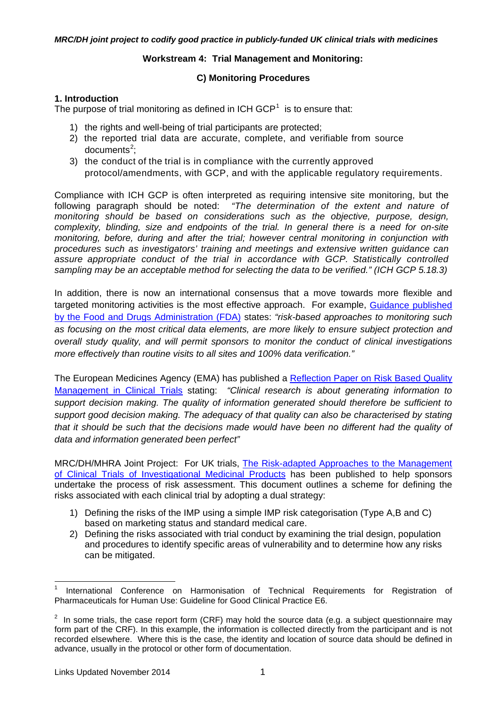# **Workstream 4: Trial Management and Monitoring:**

# **C) Monitoring Procedures**

# **1. Introduction**

The purpose of trial monitoring as defined in ICH  $GCP<sup>1</sup>$  $GCP<sup>1</sup>$  $GCP<sup>1</sup>$  is to ensure that:

- 1) the rights and well-being of trial participants are protected;
- 2) the reported trial data are accurate, complete, and verifiable from source documents<sup>[2](#page-0-1)</sup>;
- 3) the conduct of the trial is in compliance with the currently approved protocol/amendments, with GCP, and with the applicable regulatory requirements.

Compliance with ICH GCP is often interpreted as requiring intensive site monitoring, but the following paragraph should be noted: *"The determination of the extent and nature of monitoring should be based on considerations such as the objective, purpose, design, complexity, blinding, size and endpoints of the trial. In general there is a need for on-site monitoring, before, during and after the trial; however central monitoring in conjunction with procedures such as investigators' training and meetings and extensive written guidance can assure appropriate conduct of the trial in accordance with GCP. Statistically controlled sampling may be an acceptable method for selecting the data to be verified." (ICH GCP 5.18.3)*

In addition, there is now an international consensus that a move towards more flexible and targeted monitoring activities is the most effective approach. For example, [Guidance published](http://www.fda.gov/downloads/Drugs/GuidanceComplianceRegulatoryInformation/Guidances/UCM269919.pdf)  [by the Food and Drugs Administration \(FDA\)](http://www.fda.gov/downloads/Drugs/GuidanceComplianceRegulatoryInformation/Guidances/UCM269919.pdf) states: *"risk-based approaches to monitoring such as focusing on the most critical data elements, are more likely to ensure subject protection and overall study quality, and will permit sponsors to monitor the conduct of clinical investigations more effectively than routine visits to all sites and 100% data verification."*

The European Medicines Agency (EMA) has published a Reflection Paper on Risk Based Quality [Management in Clinical Trials](http://www.ema.europa.eu/docs/en_GB/document_library/Scientific_guideline/2011/08/WC500110059.pdf) stating: *"Clinical research is about generating information to support decision making. The quality of information generated should therefore be sufficient to support good decision making. The adequacy of that quality can also be characterised by stating that it should be such that the decisions made would have been no different had the quality of data and information generated been perfect"*

MRC/DH/MHRA Joint Project:For UK trials, [The Risk-adapted Approaches to the Management](http://forums.mhra.gov.uk/forumdisplay.php?22-Risk-adaptive-approachhttp://forums.mhra.gov.uk/forumdisplay.php?22-Risk-adaptive-approach)  [of Clinical Trials of Investigational Medicinal Products](http://forums.mhra.gov.uk/forumdisplay.php?22-Risk-adaptive-approachhttp://forums.mhra.gov.uk/forumdisplay.php?22-Risk-adaptive-approach) has been published to help sponsors undertake the process of risk assessment. This document outlines a scheme for defining the risks associated with each clinical trial by adopting a dual strategy:

- 1) Defining the risks of the IMP using a simple IMP risk categorisation (Type A,B and C) based on marketing status and standard medical care.
- 2) Defining the risks associated with trial conduct by examining the trial design, population and procedures to identify specific areas of vulnerability and to determine how any risks can be mitigated.

<span id="page-0-0"></span>International Conference on Harmonisation of Technical Requirements for Registration of Pharmaceuticals for Human Use: Guideline for Good Clinical Practice E6.

<span id="page-0-1"></span> $2$  In some trials, the case report form (CRF) may hold the source data (e.g. a subject questionnaire may form part of the CRF). In this example, the information is collected directly from the participant and is not recorded elsewhere. Where this is the case, the identity and location of source data should be defined in advance, usually in the protocol or other form of documentation.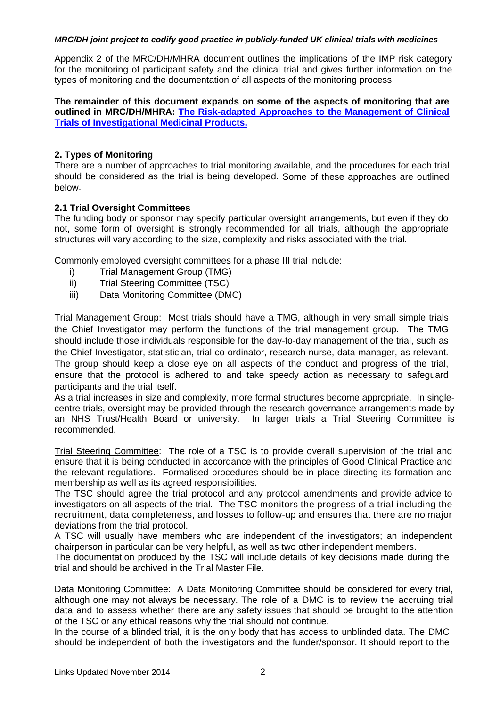Appendix 2 of the MRC/DH/MHRA document outlines the implications of the IMP risk category for the monitoring of participant safety and the clinical trial and gives further information on the types of monitoring and the documentation of all aspects of the monitoring process.

**The remainder of this document expands on some of the aspects of monitoring that are outlined in MRC/DH/MHRA: [The Risk-adapted Approaches to the Management of Clinical](http://forums.mhra.gov.uk/forumdisplay.php?22-Risk-adaptive-approachhttp://forums.mhra.gov.uk/forumdisplay.php?22-Risk-adaptive-approach)  [Trials of Investigational Medicinal Products.](http://forums.mhra.gov.uk/forumdisplay.php?22-Risk-adaptive-approachhttp://forums.mhra.gov.uk/forumdisplay.php?22-Risk-adaptive-approach)**

# **2. Types of Monitoring**

There are a number of approaches to trial monitoring available, and the procedures for each trial should be considered as the trial is being developed. Some of these approaches are outlined below.

# **2.1 Trial Oversight Committees**

The funding body or sponsor may specify particular oversight arrangements, but even if they do not, some form of oversight is strongly recommended for all trials, although the appropriate structures will vary according to the size, complexity and risks associated with the trial.

Commonly employed oversight committees for a phase III trial include:

- i) Trial Management Group (TMG)
- ii) Trial Steering Committee (TSC)
- iii) Data Monitoring Committee (DMC)

Trial Management Group: Most trials should have a TMG, although in very small simple trials the Chief Investigator may perform the functions of the trial management group. The TMG should include those individuals responsible for the day-to-day management of the trial, such as the Chief Investigator, statistician, trial co-ordinator, research nurse, data manager, as relevant. The group should keep a close eye on all aspects of the conduct and progress of the trial, ensure that the protocol is adhered to and take speedy action as necessary to safeguard participants and the trial itself.

As a trial increases in size and complexity, more formal structures become appropriate. In singlecentre trials, oversight may be provided through the research governance arrangements made by an NHS Trust/Health Board or university. In larger trials a Trial Steering Committee is recommended.

Trial Steering Committee: The role of a TSC is to provide overall supervision of the trial and ensure that it is being conducted in accordance with the principles of Good Clinical Practice and the relevant regulations. Formalised procedures should be in place directing its formation and membership as well as its agreed responsibilities.

The TSC should agree the trial protocol and any protocol amendments and provide advice to investigators on all aspects of the trial. The TSC monitors the progress of a trial including the recruitment, data completeness, and losses to follow-up and ensures that there are no major deviations from the trial protocol.

A TSC will usually have members who are independent of the investigators; an independent chairperson in particular can be very helpful, as well as two other independent members.

The documentation produced by the TSC will include details of key decisions made during the trial and should be archived in the Trial Master File.

Data Monitoring Committee: A Data Monitoring Committee should be considered for every trial, although one may not always be necessary. The role of a DMC is to review the accruing trial data and to assess whether there are any safety issues that should be brought to the attention of the TSC or any ethical reasons why the trial should not continue.

In the course of a blinded trial, it is the only body that has access to unblinded data. The DMC should be independent of both the investigators and the funder/sponsor. It should report to the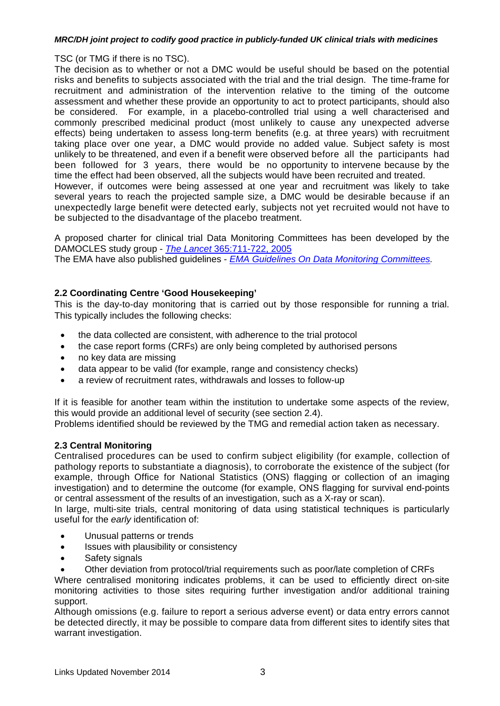#### TSC (or TMG if there is no TSC).

The decision as to whether or not a DMC would be useful should be based on the potential risks and benefits to subjects associated with the trial and the trial design. The time-frame for recruitment and administration of the intervention relative to the timing of the outcome assessment and whether these provide an opportunity to act to protect participants, should also be considered. For example, in a placebo-controlled trial using a well characterised and commonly prescribed medicinal product (most unlikely to cause any unexpected adverse effects) being undertaken to assess long-term benefits (e.g. at three years) with recruitment taking place over one year, a DMC would provide no added value. Subject safety is most unlikely to be threatened, and even if a benefit were observed before all the participants had been followed for 3 years, there would be no opportunity to intervene because by the time the effect had been observed, all the subjects would have been recruited and treated. However, if outcomes were being assessed at one year and recruitment was likely to take several years to reach the projected sample size, a DMC would be desirable because if an unexpectedly large benefit were detected early, subjects not yet recruited would not have to be subjected to the disadvantage of the placebo treatment.

A proposed charter for clinical trial Data Monitoring Committees has been developed by the DAMOCLES study group - *The Lancet* [365:711-722, 2005](http://www.thelancet.com/journals/lancet/article/PIIS0140-6736(05)17965-3/abstract)

The EMA have also published guidelines - *[EMA Guidelines On Data Monitoring Committees.](http://www.emea.europa.eu/docs/en_GB/document_library/Scientific_guideline/2009/09/WC500003635.pdf)* 

# **2.2 Coordinating Centre 'Good Housekeeping'**

This is the day-to-day monitoring that is carried out by those responsible for running a trial. This typically includes the following checks:

- the data collected are consistent, with adherence to the trial protocol
- the case report forms (CRFs) are only being completed by authorised persons
- no key data are missing
- data appear to be valid (for example, range and consistency checks)
- a review of recruitment rates, withdrawals and losses to follow-up

If it is feasible for another team within the institution to undertake some aspects of the review, this would provide an additional level of security (see section 2.4).

Problems identified should be reviewed by the TMG and remedial action taken as necessary.

# **2.3 Central Monitoring**

Centralised procedures can be used to confirm subject eligibility (for example, collection of pathology reports to substantiate a diagnosis), to corroborate the existence of the subject (for example, through Office for National Statistics (ONS) flagging or collection of an imaging investigation) and to determine the outcome (for example, ONS flagging for survival end-points or central assessment of the results of an investigation, such as a X-ray or scan).

In large, multi-site trials, central monitoring of data using statistical techniques is particularly useful for the *early* identification of:

- Unusual patterns or trends
- Issues with plausibility or consistency
- Safety signals
- Other deviation from protocol/trial requirements such as poor/late completion of CRFs

Where centralised monitoring indicates problems, it can be used to efficiently direct on-site monitoring activities to those sites requiring further investigation and/or additional training support.

Although omissions (e.g. failure to report a serious adverse event) or data entry errors cannot be detected directly, it may be possible to compare data from different sites to identify sites that warrant investigation.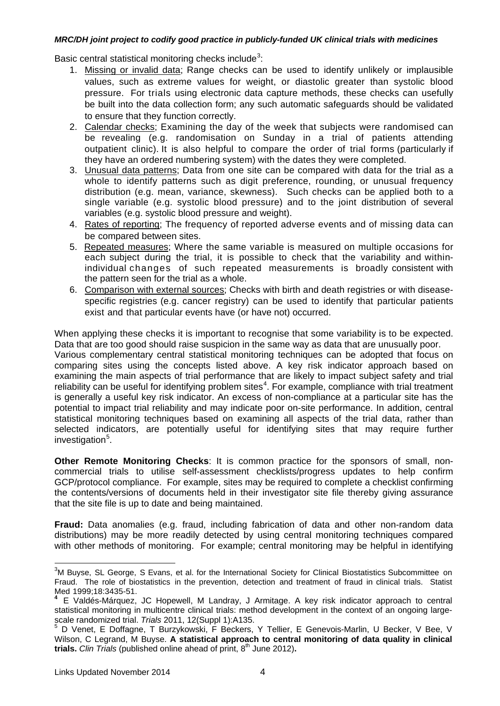Basic central statistical monitoring checks include<sup>[3](#page-3-0)</sup>:

- 1. Missing or invalid data; Range checks can be used to identify unlikely or implausible values, such as extreme values for weight, or diastolic greater than systolic blood pressure. For trials using electronic data capture methods, these checks can usefully be built into the data collection form; any such automatic safeguards should be validated to ensure that they function correctly.
- 2. Calendar checks; Examining the day of the week that subjects were randomised can be revealing (e.g. randomisation on Sunday in a trial of patients attending outpatient clinic). It is also helpful to compare the order of trial forms (particularly if they have an ordered numbering system) with the dates they were completed.
- 3. Unusual data patterns; Data from one site can be compared with data for the trial as a whole to identify patterns such as digit preference, rounding, or unusual frequency distribution (e.g. mean, variance, skewness). Such checks can be applied both to a single variable (e.g. systolic blood pressure) and to the joint distribution of several variables (e.g. systolic blood pressure and weight).
- 4. Rates of reporting; The frequency of reported adverse events and of missing data can be compared between sites.
- 5. Repeated measures; Where the same variable is measured on multiple occasions for each subject during the trial, it is possible to check that the variability and withinindividual changes of such repeated measurements is broadly consistent with the pattern seen for the trial as a whole.
- 6. Comparison with external sources; Checks with birth and death registries or with diseasespecific registries (e.g. cancer registry) can be used to identify that particular patients exist and that particular events have (or have not) occurred.

When applying these checks it is important to recognise that some variability is to be expected. Data that are too good should raise suspicion in the same way as data that are unusually poor.

Various complementary central statistical monitoring techniques can be adopted that focus on comparing sites using the concepts listed above. A key risk indicator approach based on examining the main aspects of trial performance that are likely to impact subject safety and trial reliability can be useful for identifying problem sites<sup>[4](#page-3-1)</sup>. For example, compliance with trial treatment is generally a useful key risk indicator. An excess of non-compliance at a particular site has the potential to impact trial reliability and may indicate poor on-site performance. In addition, central statistical monitoring techniques based on examining all aspects of the trial data, rather than selected indicators, are potentially useful for identifying sites that may require further investigation<sup>[5](#page-3-2)</sup>.

**Other Remote Monitoring Checks**: It is common practice for the sponsors of small, noncommercial trials to utilise self-assessment checklists/progress updates to help confirm GCP/protocol compliance. For example, sites may be required to complete a checklist confirming the contents/versions of documents held in their investigator site file thereby giving assurance that the site file is up to date and being maintained.

**Fraud:** Data anomalies (e.g. fraud, including fabrication of data and other non-random data distributions) may be more readily detected by using central monitoring techniques compared with other methods of monitoring. For example; central monitoring may be helpful in identifying

<span id="page-3-0"></span>3 M Buyse, SL George, S Evans, et al. for the International Society for Clinical Biostatistics Subcommittee on Fraud. The role of biostatistics in the prevention, detection and treatment of fraud in clinical trials. Statist Med 1999;18:3435-51.

<span id="page-3-1"></span>**<sup>4</sup>** E Valdés-Márquez, JC Hopewell, M Landray, J Armitage. A key risk indicator approach to central statistical monitoring in multicentre clinical trials: method development in the context of an ongoing largescale randomized trial. *Trials* 2011, 12(Suppl 1):A135.

<span id="page-3-2"></span>D Venet, E Doffagne, T Burzykowski, F Beckers, Y Tellier, E Genevois-Marlin, U Becker, V Bee, V Wilson, C Legrand, M Buyse. **A statistical approach to central monitoring of data quality in clinical trials.** *Clin Trials* (published online ahead of print, 8th June 2012)**.**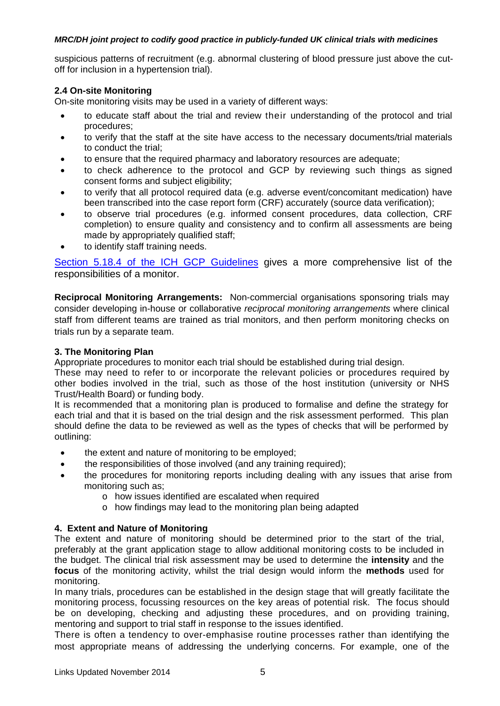suspicious patterns of recruitment (e.g. abnormal clustering of blood pressure just above the cutoff for inclusion in a hypertension trial).

# **2.4 On-site Monitoring**

On-site monitoring visits may be used in a variety of different ways:

- to educate staff about the trial and review their understanding of the protocol and trial procedures;
- to verify that the staff at the site have access to the necessary documents/trial materials to conduct the trial;
- to ensure that the required pharmacy and laboratory resources are adequate;
- to check adherence to the protocol and GCP by reviewing such things as signed consent forms and subject eligibility;
- to verify that all protocol required data (e.g. adverse event/concomitant medication) have been transcribed into the case report form (CRF) accurately (source data verification);
- to observe trial procedures (e.g. informed consent procedures, data collection, CRF completion) to ensure quality and consistency and to confirm all assessments are being made by appropriately qualified staff;
- to identify staff training needs.

[Section 5.18.4 of the ICH GCP Guidelines](http://ichgcp.net/518-monitoring) gives a more comprehensive list of the responsibilities of a monitor.

**Reciprocal Monitoring Arrangements:** Non-commercial organisations sponsoring trials may consider developing in-house or collaborative *reciprocal monitoring arrangements* where clinical staff from different teams are trained as trial monitors, and then perform monitoring checks on trials run by a separate team.

#### **3. The Monitoring Plan**

Appropriate procedures to monitor each trial should be established during trial design.

These may need to refer to or incorporate the relevant policies or procedures required by other bodies involved in the trial, such as those of the host institution (university or NHS Trust/Health Board) or funding body.

It is recommended that a monitoring plan is produced to formalise and define the strategy for each trial and that it is based on the trial design and the risk assessment performed. This plan should define the data to be reviewed as well as the types of checks that will be performed by outlining:

- the extent and nature of monitoring to be employed;
- the responsibilities of those involved (and any training required);
- the procedures for monitoring reports including dealing with any issues that arise from monitoring such as;
	- o how issues identified are escalated when required
	- o how findings may lead to the monitoring plan being adapted

# **4. Extent and Nature of Monitoring**

The extent and nature of monitoring should be determined prior to the start of the trial, preferably at the grant application stage to allow additional monitoring costs to be included in the budget. The clinical trial risk assessment may be used to determine the **intensity** and the **focus** of the monitoring activity, whilst the trial design would inform the **methods** used for monitoring.

In many trials, procedures can be established in the design stage that will greatly facilitate the monitoring process, focussing resources on the key areas of potential risk. The focus should be on developing, checking and adjusting these procedures, and on providing training, mentoring and support to trial staff in response to the issues identified.

There is often a tendency to over-emphasise routine processes rather than identifying the most appropriate means of addressing the underlying concerns. For example, one of the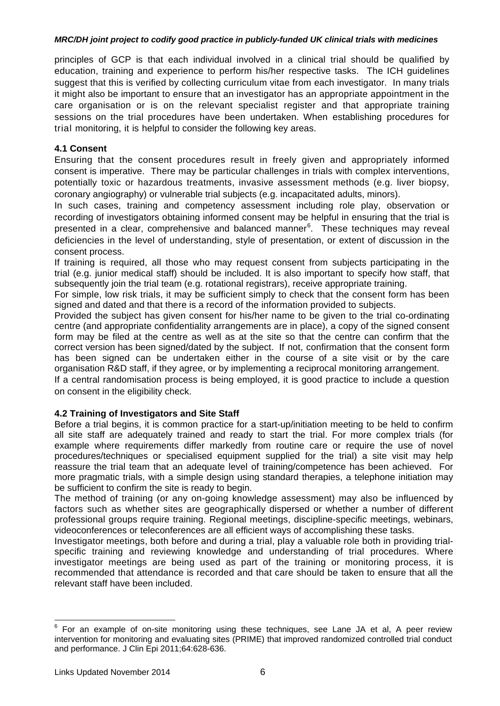principles of GCP is that each individual involved in a clinical trial should be qualified by education, training and experience to perform his/her respective tasks. The ICH guidelines suggest that this is verified by collecting curriculum vitae from each investigator. In many trials it might also be important to ensure that an investigator has an appropriate appointment in the care organisation or is on the relevant specialist register and that appropriate training sessions on the trial procedures have been undertaken. When establishing procedures for trial monitoring, it is helpful to consider the following key areas.

# **4.1 Consent**

Ensuring that the consent procedures result in freely given and appropriately informed consent is imperative. There may be particular challenges in trials with complex interventions, potentially toxic or hazardous treatments, invasive assessment methods (e.g. liver biopsy, coronary angiography) or vulnerable trial subjects (e.g. incapacitated adults, minors).

In such cases, training and competency assessment including role play, observation or recording of investigators obtaining informed consent may be helpful in ensuring that the trial is presented in a clear, comprehensive and balanced manner<sup>[6](#page-5-0)</sup>. These techniques may reveal deficiencies in the level of understanding, style of presentation, or extent of discussion in the consent process.

If training is required, all those who may request consent from subjects participating in the trial (e.g. junior medical staff) should be included. It is also important to specify how staff, that subsequently join the trial team (e.g. rotational registrars), receive appropriate training.

For simple, low risk trials, it may be sufficient simply to check that the consent form has been signed and dated and that there is a record of the information provided to subjects.

Provided the subject has given consent for his/her name to be given to the trial co-ordinating centre (and appropriate confidentiality arrangements are in place), a copy of the signed consent form may be filed at the centre as well as at the site so that the centre can confirm that the correct version has been signed/dated by the subject. If not, confirmation that the consent form has been signed can be undertaken either in the course of a site visit or by the care organisation R&D staff, if they agree, or by implementing a reciprocal monitoring arrangement.

If a central randomisation process is being employed, it is good practice to include a question on consent in the eligibility check.

# **4.2 Training of Investigators and Site Staff**

Before a trial begins, it is common practice for a start-up/initiation meeting to be held to confirm all site staff are adequately trained and ready to start the trial. For more complex trials (for example where requirements differ markedly from routine care or require the use of novel procedures/techniques or specialised equipment supplied for the trial) a site visit may help reassure the trial team that an adequate level of training/competence has been achieved. For more pragmatic trials, with a simple design using standard therapies, a telephone initiation may be sufficient to confirm the site is ready to begin.

The method of training (or any on-going knowledge assessment) may also be influenced by factors such as whether sites are geographically dispersed or whether a number of different professional groups require training. Regional meetings, discipline-specific meetings, webinars, videoconferences or teleconferences are all efficient ways of accomplishing these tasks.

Investigator meetings, both before and during a trial, play a valuable role both in providing trialspecific training and reviewing knowledge and understanding of trial procedures. Where investigator meetings are being used as part of the training or monitoring process, it is recommended that attendance is recorded and that care should be taken to ensure that all the relevant staff have been included.

<span id="page-5-0"></span><sup>&</sup>lt;sup>6</sup> For an example of on-site monitoring using these techniques, see Lane JA et al, A peer review intervention for monitoring and evaluating sites (PRIME) that improved randomized controlled trial conduct and performance. J Clin Epi 2011;64:628-636.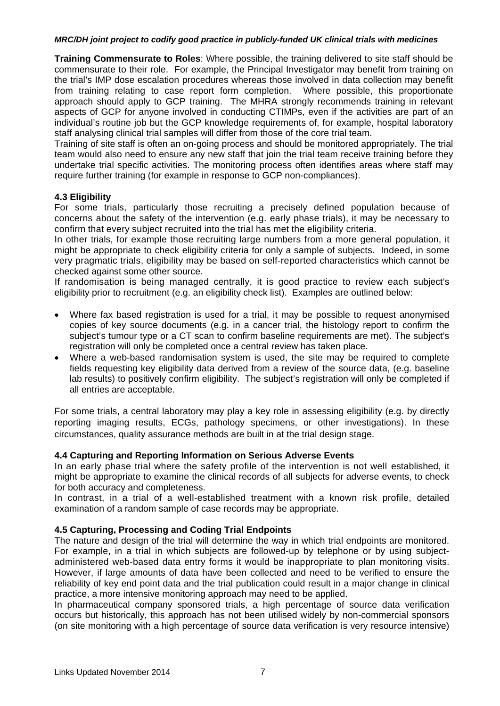**Training Commensurate to Roles**: Where possible, the training delivered to site staff should be commensurate to their role. For example, the Principal Investigator may benefit from training on the trial's IMP dose escalation procedures whereas those involved in data collection may benefit from training relating to case report form completion. Where possible, this proportionate approach should apply to GCP training. The MHRA strongly recommends training in relevant aspects of GCP for anyone involved in conducting CTIMPs, even if the activities are part of an individual's routine job but the GCP knowledge requirements of, for example, hospital laboratory staff analysing clinical trial samples will differ from those of the core trial team.

Training of site staff is often an on-going process and should be monitored appropriately. The trial team would also need to ensure any new staff that join the trial team receive training before they undertake trial specific activities. The monitoring process often identifies areas where staff may require further training (for example in response to GCP non-compliances).

#### **4.3 Eligibility**

For some trials, particularly those recruiting a precisely defined population because of concerns about the safety of the intervention (e.g. early phase trials), it may be necessary to confirm that every subject recruited into the trial has met the eligibility criteria.

In other trials, for example those recruiting large numbers from a more general population, it might be appropriate to check eligibility criteria for only a sample of subjects. Indeed, in some very pragmatic trials, eligibility may be based on self-reported characteristics which cannot be checked against some other source.

If randomisation is being managed centrally, it is good practice to review each subject's eligibility prior to recruitment (e.g. an eligibility check list). Examples are outlined below:

- Where fax based registration is used for a trial, it may be possible to request anonymised copies of key source documents (e.g. in a cancer trial, the histology report to confirm the subject's tumour type or a CT scan to confirm baseline requirements are met). The subject's registration will only be completed once a central review has taken place.
- Where a web-based randomisation system is used, the site may be required to complete fields requesting key eligibility data derived from a review of the source data, (e.g. baseline lab results) to positively confirm eligibility. The subject's registration will only be completed if all entries are acceptable.

For some trials, a central laboratory may play a key role in assessing eligibility (e.g. by directly reporting imaging results, ECGs, pathology specimens, or other investigations). In these circumstances, quality assurance methods are built in at the trial design stage.

# **4.4 Capturing and Reporting Information on Serious Adverse Events**

In an early phase trial where the safety profile of the intervention is not well established, it might be appropriate to examine the clinical records of all subjects for adverse events, to check for both accuracy and completeness.

In contrast, in a trial of a well-established treatment with a known risk profile, detailed examination of a random sample of case records may be appropriate.

# **4.5 Capturing, Processing and Coding Trial Endpoints**

The nature and design of the trial will determine the way in which trial endpoints are monitored. For example, in a trial in which subjects are followed-up by telephone or by using subjectadministered web-based data entry forms it would be inappropriate to plan monitoring visits. However, if large amounts of data have been collected and need to be verified to ensure the reliability of key end point data and the trial publication could result in a major change in clinical practice, a more intensive monitoring approach may need to be applied.

In pharmaceutical company sponsored trials, a high percentage of source data verification occurs but historically, this approach has not been utilised widely by non-commercial sponsors (on site monitoring with a high percentage of source data verification is very resource intensive)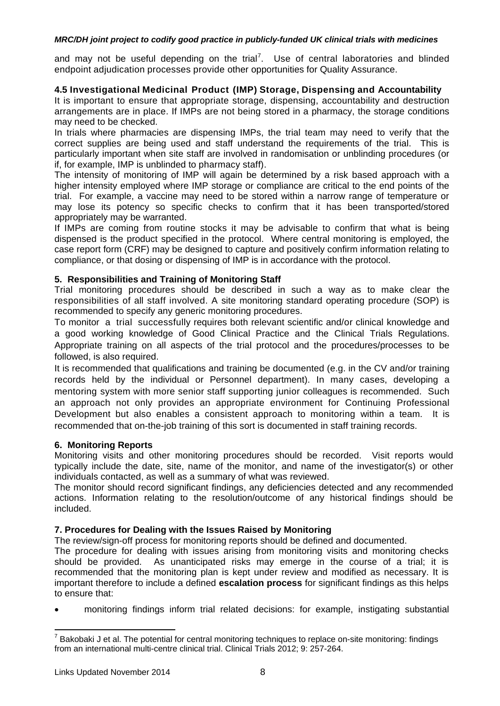and may not be useful depending on the trial<sup>[7](#page-7-0)</sup>. Use of central laboratories and blinded endpoint adjudication processes provide other opportunities for Quality Assurance.

# **4.5 Investigational Medicinal Product (IMP) Storage, Dispensing and Accountability**

It is important to ensure that appropriate storage, dispensing, accountability and destruction arrangements are in place. If IMPs are not being stored in a pharmacy, the storage conditions may need to be checked.

In trials where pharmacies are dispensing IMPs, the trial team may need to verify that the correct supplies are being used and staff understand the requirements of the trial. This is particularly important when site staff are involved in randomisation or unblinding procedures (or if, for example, IMP is unblinded to pharmacy staff).

The intensity of monitoring of IMP will again be determined by a risk based approach with a higher intensity employed where IMP storage or compliance are critical to the end points of the trial. For example, a vaccine may need to be stored within a narrow range of temperature or may lose its potency so specific checks to confirm that it has been transported/stored appropriately may be warranted.

If IMPs are coming from routine stocks it may be advisable to confirm that what is being dispensed is the product specified in the protocol. Where central monitoring is employed, the case report form (CRF) may be designed to capture and positively confirm information relating to compliance, or that dosing or dispensing of IMP is in accordance with the protocol.

# **5. Responsibilities and Training of Monitoring Staff**

Trial monitoring procedures should be described in such a way as to make clear the responsibilities of all staff involved. A site monitoring standard operating procedure (SOP) is recommended to specify any generic monitoring procedures.

To monitor a trial successfully requires both relevant scientific and/or clinical knowledge and a good working knowledge of Good Clinical Practice and the Clinical Trials Regulations. Appropriate training on all aspects of the trial protocol and the procedures/processes to be followed, is also required.

It is recommended that qualifications and training be documented (e.g. in the CV and/or training records held by the individual or Personnel department). In many cases, developing a mentoring system with more senior staff supporting junior colleagues is recommended. Such an approach not only provides an appropriate environment for Continuing Professional Development but also enables a consistent approach to monitoring within a team. It is recommended that on-the-job training of this sort is documented in staff training records.

# **6. Monitoring Reports**

Monitoring visits and other monitoring procedures should be recorded. Visit reports would typically include the date, site, name of the monitor, and name of the investigator(s) or other individuals contacted, as well as a summary of what was reviewed.

The monitor should record significant findings, any deficiencies detected and any recommended actions. Information relating to the resolution/outcome of any historical findings should be included.

# **7. Procedures for Dealing with the Issues Raised by Monitoring**

The review/sign-off process for monitoring reports should be defined and documented.

The procedure for dealing with issues arising from monitoring visits and monitoring checks should be provided. As unanticipated risks may emerge in the course of a trial; it is recommended that the monitoring plan is kept under review and modified as necessary. It is important therefore to include a defined **escalation process** for significant findings as this helps to ensure that:

• monitoring findings inform trial related decisions: for example, instigating substantial

<span id="page-7-0"></span> $7$  Bakobaki J et al. The potential for central monitoring techniques to replace on-site monitoring: findings from an international multi-centre clinical trial. Clinical Trials 2012; 9: 257-264.